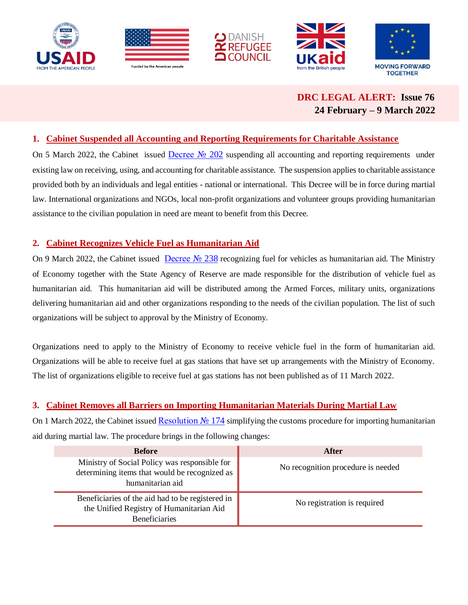







 **DRC LEGAL ALERT: Issue 76 24 February – 9 March 2022**

### **1. Cabinet Suspended all Accounting and Reporting Requirements for Charitable Assistance**

On 5 March 2022, the Cabinet issued Decree Nº 202 suspending all accounting and reporting requirements under existing law on receiving, using, and accounting for charitable assistance. The suspension applies to charitable assistance provided both by an individuals and legal entities - national or international. This Decree will be in force during martial law. International organizations and NGOs, local non-profit organizations and volunteer groups providing humanitarian assistance to the civilian population in need are meant to benefit from this Decree.

### **2. Cabinet Recognizes Vehicle Fuel as Humanitarian Aid**

On 9 March 2022, the Cabinet issued Decree No 238 recognizing fuel for vehicles as humanitarian aid. The Ministry of Economy together with the State Agency of Reserve are made responsible for the distribution of vehicle fuel as humanitarian aid. This humanitarian aid will be distributed among the Armed Forces, military units, organizations delivering humanitarian aid and other organizations responding to the needs of the civilian population. The list of such organizations will be subject to approval by the Ministry of Economy.

Organizations need to apply to the Ministry of Economy to receive vehicle fuel in the form of humanitarian aid. Organizations will be able to receive fuel at gas stations that have set up arrangements with the Ministry of Economy. The list of organizations eligible to receive fuel at gas stations has not been published as of 11 March 2022.

# **3. Cabinet Removes all Barriers on Importing Humanitarian Materials During Martial Law**

On 1 March 2022, the Cabinet issued [Resolution №](https://www.kmu.gov.ua/npas/deyaki-pitannya-propusku-gumanitarnoyi-dopomogi-cherez-mitnij-kordon-ukrayini-v-umovah-voyennogo-stanu-174) 174 simplifying the customs procedure for importing humanitarian aid during martial law. The procedure brings in the following changes:

| <b>Before</b>                                                                                                        | After                              |  |
|----------------------------------------------------------------------------------------------------------------------|------------------------------------|--|
| Ministry of Social Policy was responsible for<br>determining items that would be recognized as<br>humanitarian aid   | No recognition procedure is needed |  |
| Beneficiaries of the aid had to be registered in<br>the Unified Registry of Humanitarian Aid<br><b>Beneficiaries</b> | No registration is required        |  |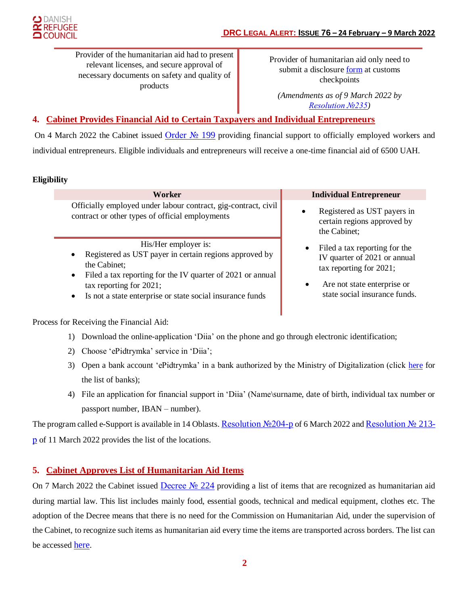Provider of the humanitarian aid had to present relevant licenses, and secure approval of necessary documents on safety and quality of products

Provider of humanitarian aid only need to submit a disclosure [form](https://www.kmu.gov.ua/storage/app/uploads/public/621/f4c/2ba/621f4c2bacbb7571896249.docx) at customs checkpoints

*(Amendments as of 9 March 2022 by [Resolution №235\)](https://www.kmu.gov.ua/npas/pro-vnesennya-zmin-do-postanovi-kabinetu-ministriv-ukrayini-vid-1-bereznya-2022-r-174-235)*

# **4. Cabinet Provides Financial Aid to Certain Taxpayers and Individual Entrepreneurs**

On 4 March 2022 the Cabinet issued [Order №](https://www.kmu.gov.ua/npas/pitannya-nadannya-u-2022-roci-zastrahovanim-osobam-odnorazovoyi-materialnoyi-dopomogi-u-zvyazku-iz-vtratoyu-chastini-zarobitnoyi-plati-dohodu-robota-ekonomichna-diyalnist-yakih-timchasovo-199) 199 providing financial support to officially employed workers and individual entrepreneurs. Eligible individuals and entrepreneurs will receive a one-time financial aid of 6500 UAH.

### **Eligibility**

Officially employed under labour contract, gig-contract, civil contract or other types of official employments

His/Her employer is:

- Registered as UST payer in certain regions approved by the Cabinet;
- Filed a tax reporting for the IV quarter of 2021 or annual tax reporting for 2021;
- Is not a state enterprise or state social insurance funds

#### **Worker Individual Entrepreneur**

- Registered as UST payers in certain regions approved by the Cabinet;
- Filed a tax reporting for the IV quarter of 2021 or annual tax reporting for 2021;
- Are not state enterprise or state social insurance funds.

Process for Receiving the Financial Aid:

- 1) Download the online-application 'Diia' on the phone and go through electronic identification;
- 2) Choose 'ePidtrymka' service in 'Diia';
- 3) Open a bank account 'ePidtrymka' in a bank authorized by the Ministry of Digitalization (click [here](https://e-aid.diia.gov.ua/) for the list of banks);
- 4) File an application for financial support in 'Diia' (Name\surname, date of birth, individual tax number or passport number, IBAN – number).

The program called e-Support is available in 14 Oblasts. [Resolution №204-p](https://www.kmu.gov.ua/npas/pro-zatverdzhennya-pereliku-administrativno-teritorialnih-odinic-na-teritoriyi-yakih-nadayetsya-dopomoga-zastrahovanim-osobam-v-ramkah-programi-yepidtrimka-204-) of 6 March 2022 and [Resolution №](https://www.kmu.gov.ua/npas/pro-vnesennya-zmini-u-dodatok-do-rozporyadzhennya-kabinetu-ministriv-ukrayini-vid-6-bereznya-2022-r-204-213-) 213[р](https://www.kmu.gov.ua/npas/pro-vnesennya-zmini-u-dodatok-do-rozporyadzhennya-kabinetu-ministriv-ukrayini-vid-6-bereznya-2022-r-204-213-) of 11 March 2022 provides the list of the locations.

### **5. Cabinet Approves List of Humanitarian Aid Items**

On 7 March 2022 the Cabinet issued Decree  $\mathcal{N}_2$  224 providing a list of items that are recognized as humanitarian aid during martial law. This list includes mainly food, essential goods, technical and medical equipment, clothes etc. The adoption of the Decree means that there is no need for the Commission on Humanitarian Aid, under the supervision of the Cabinet, to recognize such items as humanitarian aid every time the items are transported across borders. The list can be accessed [here](https://www.kmu.gov.ua/storage/app/uploads/public/622/853/4a3/6228534a3933d459305599.doc).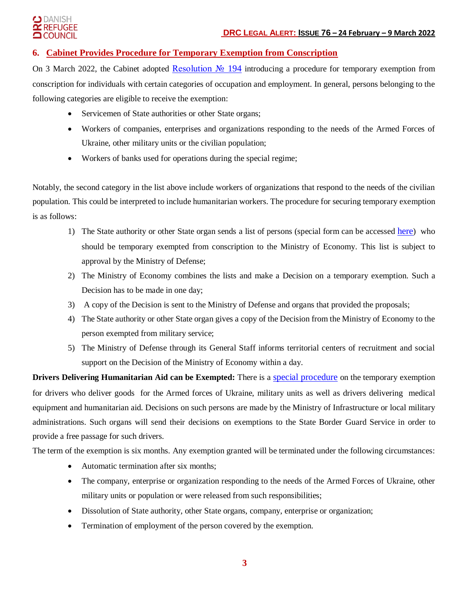#### I DANISH **REFUGEE COUNCIL**

## **6. Cabinet Provides Procedure for Temporary Exemption from Conscription**

On 3 March 2022, the Cabinet adopted Resolution  $N_2$  194 introducing a procedure for temporary exemption from conscription for individuals with certain categories of occupation and employment. In general, persons belonging to the following categories are eligible to receive the exemption:

- Servicemen of State authorities or other State organs;
- Workers of companies, enterprises and organizations responding to the needs of the Armed Forces of Ukraine, other military units or the civilian population;
- Workers of banks used for operations during the special regime;

Notably, the second category in the list above include workers of organizations that respond to the needs of the civilian population. This could be interpreted to include humanitarian workers. The procedure for securing temporary exemption is as follows:

- 1) The State authority or other State organ sends a list of persons (special form can be accessed [here](https://www.kmu.gov.ua/storage/app/uploads/public/622/36b/b6a/62236bb6a2e4a905550887.doc)) who should be temporary exempted from conscription to the Ministry of Economy. This list is subject to approval by the Ministry of Defense;
- 2) The Ministry of Economy combines the lists and make a Decision on a temporary exemption. Such a Decision has to be made in one day;
- 3) A copy of the Decision is sent to the Ministry of Defense and organs that provided the proposals;
- 4) The State authority or other State organ gives a copy of the Decision from the Ministry of Economy to the person exempted from military service;
- 5) The Ministry of Defense through its General Staff informs territorial centers of recruitment and social support on the Decision of the Ministry of Economy within a day.

**Drivers Delivering Humanitarian Aid can be Exempted:** There is a [special procedure](https://www.kmu.gov.ua/npas/pro-vnesennya-zmin-do-postanovi-kabinetu-ministriv-ukrayini-vid-3-bereznya-2022-r-194-218) on the temporary exemption for drivers who deliver goods for the Armed forces of Ukraine, military units as well as drivers delivering medical equipment and humanitarian aid. Decisions on such persons are made by the Ministry of Infrastructure or local military administrations. Such organs will send their decisions on exemptions to the State Border Guard Service in order to provide a free passage for such drivers.

The term of the exemption is six months. Any exemption granted will be terminated under the following circumstances:

- Automatic termination after six months:
- The company, enterprise or organization responding to the needs of the Armed Forces of Ukraine, other military units or population or were released from such responsibilities;
- Dissolution of State authority, other State organs, company, enterprise or organization;
- Termination of employment of the person covered by the exemption.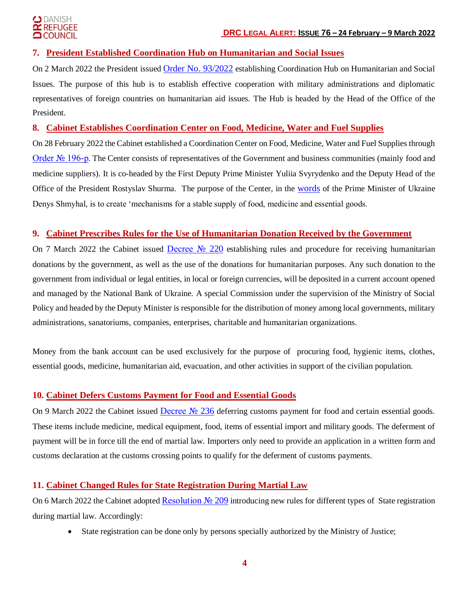#### **DANISH REFUGEE** LCOUNCIL

### **7. President Established Coordination Hub on Humanitarian and Social Issues**

On 2 March 2022 the President issued [Order No. 93/2022](https://www.president.gov.ua/documents/932022-41489) establishing Coordination Hub on Humanitarian and Social Issues. The purpose of this hub is to establish effective cooperation with military administrations and diplomatic representatives of foreign countries on humanitarian aid issues. The Hub is headed by the Head of the Office of the President.

### **8. Cabinet Establishes Coordination Center on Food, Medicine, Water and Fuel Supplies**

On 28 February 2022 the Cabinet established a Coordination Center on Food, Medicine, Water and Fuel Supplies through [Order № 196-р](https://www.kmu.gov.ua/npas/pro-utvorennya-koordinacijnogo-centru-iz-zabezpechennya-prodovolchimi-produktami-likami-pitnoyu-vodoyu-ta-palnim-196-). The Center consists of representatives of the Government and business communities (mainly food and medicine suppliers). It is co-headed by the First Deputy Prime Minister Yuliia Svyrydenko and the Deputy Head of the Office of the President Rostyslav Shurma. The purpose of the Center, in the [words](https://www.epravda.com.ua/news/2022/03/2/683104/) of the Prime Minister of Ukraine Denys Shmyhal, is to create 'mechanisms for a stable supply of food, medicine and essential goods.

#### **9. Cabinet Prescribes Rules for the Use of Humanitarian Donation Received by the Government**

On 7 March 2022 the Cabinet issued [Decree №](https://www.kmu.gov.ua/npas/pitannya-nadannya-gumanitarnoyi-ta-inshoyi-dopomogi-civilnomu-naselennyu-v-umovah-voyennogo-stanu-v-ukrayini-220) 220 establishing rules and procedure for receiving humanitarian donations by the government, as well as the use of the donations for humanitarian purposes. Any such donation to the government from individual or legal entities, in local or foreign currencies, will be deposited in a current account opened and managed by the National Bank of Ukraine. A special Commission under the supervision of the Ministry of Social Policy and headed by the Deputy Minister is responsible for the distribution of money among local governments, military administrations, sanatoriums, companies, enterprises, charitable and humanitarian organizations.

Money from the bank account can be used exclusively for the purpose of procuring food, hygienic items, clothes, essential goods, medicine, humanitarian aid, evacuation, and other activities in support of the civilian population.

### **10. Cabinet Defers Customs Payment for Food and Essential Goods**

On 9 March 2022 the Cabinet issued Decree No 236 deferring customs payment for food and certain essential goods. These items include medicine, medical equipment, food, items of essential import and military goods. The deferment of payment will be in force till the end of martial law. Importers only need to provide an application in a written form and customs declaration at the customs crossing points to qualify for the deferment of customs payments.

### **11. Cabinet Changed Rules for State Registration During Martial Law**

On 6 March 2022 the Cabinet adopted [Resolution №](https://www.kmu.gov.ua/npas/deyaki-pitannya-derzhavnoyi-reyestraciyi-v-umovah-voyennogo-stanu-ta-vnesennya-zmin-do-postanovi-kabinetu-ministriv-ukrayini-vid-28-lyutogo-2022-r-164-209) 209 introducing new rules for different types of State registration during martial law. Accordingly:

State registration can be done only by persons specially authorized by the Ministry of Justice;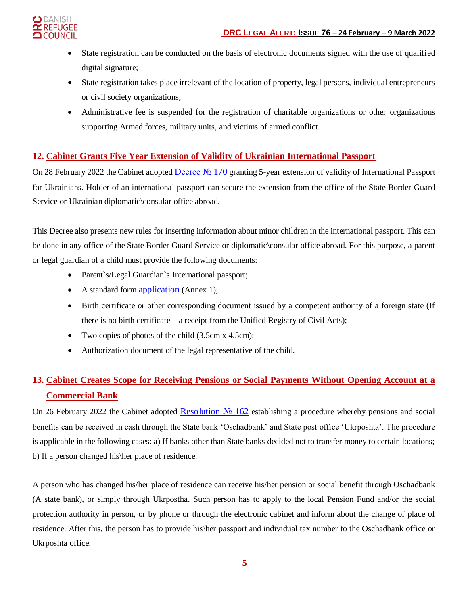

- State registration can be conducted on the basis of electronic documents signed with the use of qualified digital signature;
- State registration takes place irrelevant of the location of property, legal persons, individual entrepreneurs or civil society organizations;
- Administrative fee is suspended for the registration of charitable organizations or other organizations supporting Armed forces, military units, and victims of armed conflict.

# **12. Cabinet Grants Five Year Extension of Validity of Ukrainian International Passport**

On 28 February 2022 the Cabinet adopted Decree No 170 granting 5-year extension of validity of International Passport for Ukrainians. Holder of an international passport can secure the extension from the office of the State Border Guard Service or Ukrainian diplomatic\consular office abroad.

This Decree also presents new rules for inserting information about minor children in the international passport. This can be done in any office of the State Border Guard Service or diplomatic\consular office abroad. For this purpose, a parent or legal guardian of a child must provide the following documents:

- Parent`s/Legal Guardian`s International passport;
- A standard form **[application](https://zakon.rada.gov.ua/laws/file/text/96/f514016n80.docx)** (Annex 1);
- Birth certificate or other corresponding document issued by a competent authority of a foreign state (If there is no birth certificate – a receipt from the Unified Registry of Civil Acts);
- Two copies of photos of the child (3.5cm x 4.5cm);
- Authorization document of the legal representative of the child.

# **13. Cabinet Creates Scope for Receiving Pensions or Social Payments Without Opening Account at a Commercial Bank**

On 26 February 2022 the Cabinet adopted [Resolution №](https://www.kmu.gov.ua/npas/pro-osoblivosti-viplati-ta-dostavki-pensij-groshovih-dopomog-na-period-vvedennya-voyennogo-stanu-162-260222) 162 establishing a procedure whereby pensions and social benefits can be received in cash through the State bank 'Oschadbank' and State post office 'Ukrposhta'. The procedure is applicable in the following cases: a) If banks other than State banks decided not to transfer money to certain locations; b) If a person changed his\her place of residence.

A person who has changed his/her place of residence can receive his/her pension or social benefit through Oschadbank (A state bank), or simply through Ukrpostha. Such person has to apply to the local Pension Fund and/or the social protection authority in person, or by phone or through the electronic cabinet and inform about the change of place of residence. After this, the person has to provide his\her passport and individual tax number to the Oschadbank office or Ukrposhta office.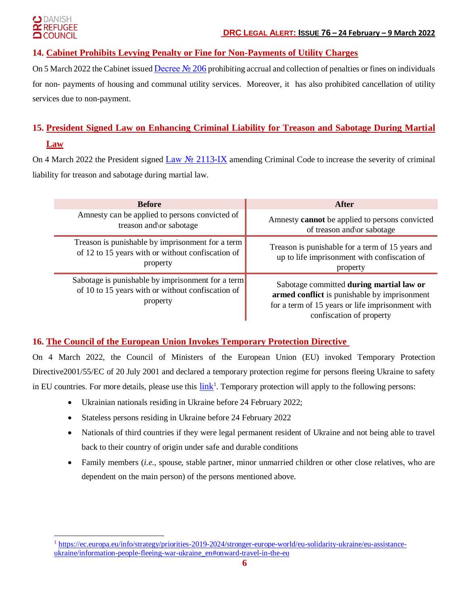#### ) DANISH **REFUGEE COUNCIL**

 $\overline{a}$ 

# **14. Cabinet Prohibits Levying Penalty or Fine for Non-Payments of Utility Charges**

On 5 March 2022 the Cabinet issued [Decree №](https://www.kmu.gov.ua/npas/deyaki-pitannya-oplati-zhitlovo-komunalnih-poslug-v-period-voyennogo-stanu-206) 206 prohibiting accrual and collection of penalties or fines on individuals for non- payments of housing and communal utility services. Moreover, it has also prohibited cancellation of utility services due to non-payment.

# **15. President Signed Law on Enhancing Criminal Liability for Treason and Sabotage During Martial Law**

On 4 March 2022 the President signed Law No [2113-IX](https://zakon.rada.gov.ua/laws/show/2113-IX#Text) amending Criminal Code to increase the severity of criminal liability for treason and sabotage during martial law.

| <b>Before</b>                                                                                                      | After                                                                                                                                                                    |
|--------------------------------------------------------------------------------------------------------------------|--------------------------------------------------------------------------------------------------------------------------------------------------------------------------|
| Amnesty can be applied to persons convicted of                                                                     | Amnesty <b>cannot</b> be applied to persons convicted                                                                                                                    |
| treason and/or sabotage                                                                                            | of treason and/or sabotage                                                                                                                                               |
| Treason is punishable by imprisonment for a term                                                                   | Treason is punishable for a term of 15 years and                                                                                                                         |
| of 12 to 15 years with or without confiscation of                                                                  | up to life imprisonment with confiscation of                                                                                                                             |
| property                                                                                                           | property                                                                                                                                                                 |
| Sabotage is punishable by imprisonment for a term<br>of 10 to 15 years with or without confiscation of<br>property | Sabotage committed during martial law or<br>armed conflict is punishable by imprisonment<br>for a term of 15 years or life imprisonment with<br>confiscation of property |

### **16. The Council of the European Union Invokes Temporary Protection Directive**

On 4 March 2022, the Council of Ministers of the European Union (EU) invoked Temporary Protection Directive2001/55/EC of 20 July 2001 and declared a temporary protection regime for persons fleeing Ukraine to safety in EU countries. For more details, please use this  $\frac{link}{l}$  $\frac{link}{l}$  $\frac{link}{l}$ . Temporary protection will apply to the following persons:

- Ukrainian nationals residing in Ukraine before 24 February 2022;
- Stateless persons residing in Ukraine before 24 February 2022
- Nationals of third countries if they were legal permanent resident of Ukraine and not being able to travel back to their country of origin under safe and durable conditions
- Family members (*i.e.,* spouse, stable partner, minor unmarried children or other close relatives, who are dependent on the main person) of the persons mentioned above.

**<sup>1</sup>** [https://ec.europa.eu/info/strategy/priorities-2019-2024/stronger-europe-world/eu-solidarity-ukraine/eu-assistance](https://ec.europa.eu/info/strategy/priorities-2019-2024/stronger-europe-world/eu-solidarity-ukraine/eu-assistance-ukraine/information-people-fleeing-war-ukraine_en%23onward-travel-in-the-eu)[ukraine/information-people-fleeing-war-ukraine\\_en#onward-travel-in-the-eu](https://ec.europa.eu/info/strategy/priorities-2019-2024/stronger-europe-world/eu-solidarity-ukraine/eu-assistance-ukraine/information-people-fleeing-war-ukraine_en%23onward-travel-in-the-eu)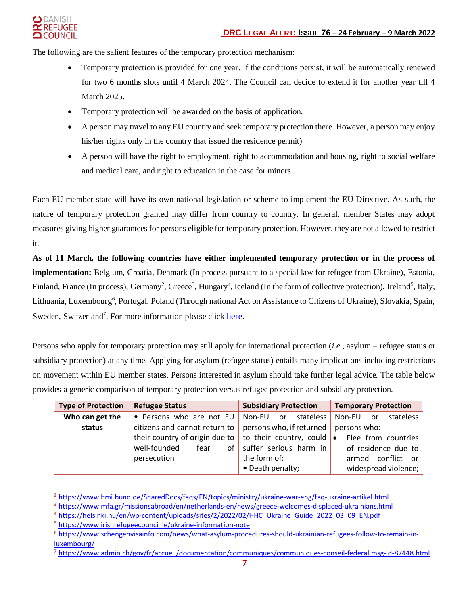

The following are the salient features of the temporary protection mechanism:

- Temporary protection is provided for one year. If the conditions persist, it will be automatically renewed for two 6 months slots until 4 March 2024. The Council can decide to extend it for another year till 4 March 2025.
- Temporary protection will be awarded on the basis of application.
- A person may travel to any EU country and seek temporary protection there. However, a person may enjoy his/her rights only in the country that issued the residence permit)
- A person will have the right to employment, right to accommodation and housing, right to social welfare and medical care, and right to education in the case for minors.

Each EU member state will have its own national legislation or scheme to implement the EU Directive. As such, the nature of temporary protection granted may differ from country to country. In general, member States may adopt measures giving higher guarantees for persons eligible for temporary protection. However, they are not allowed to restrict it.

**As of 11 March, the following countries have either implemented temporary protection or in the process of implementation:** Belgium, Croatia, Denmark (In process pursuant to a special law for refugee from Ukraine), Estonia, Finland, France (In process), Germany<sup>2</sup>, Greece<sup>3</sup>, Hungary<sup>4</sup>, Iceland (In the form of collective protection), Ireland<sup>5</sup>, Italy, Lithuania, Luxembourg<sup>6</sup>, Portugal, Poland (Through national Act on Assistance to Citizens of Ukraine), Slovakia, Spain, Sweden, Switzerland<sup>7</sup>. For more information please click [here](https://ecre.org/wp-content/uploads/2022/03/Information-Sheet-%E2%80%93-Access-to-territory-asylum-procedures-and-reception-conditions-for-Ukrainian-nationals-in-European-countries.pdf).

Persons who apply for temporary protection may still apply for international protection (*i.e.,* asylum – refugee status or subsidiary protection) at any time. Applying for asylum (refugee status) entails many implications including restrictions on movement within EU member states. Persons interested in asylum should take further legal advice. The table below provides a generic comparison of temporary protection versus refugee protection and subsidiary protection.

| <b>Type of Protection</b> | <b>Refugee Status</b>          | <b>Subsidiary Protection</b>            | <b>Temporary Protection</b>      |
|---------------------------|--------------------------------|-----------------------------------------|----------------------------------|
| Who can get the           | • Persons who are not EU       | stateless  <br>Non-EU<br>or o           | Non-EU<br>stateless<br><b>or</b> |
| status                    | citizens and cannot return to  | persons who, if returned   persons who: |                                  |
|                           | their country of origin due to | to their country, could $\bullet$       | Flee from countries              |
|                           | well-founded<br>fear<br>οf     | suffer serious harm in                  | of residence due to              |
|                           | persecution                    | the form of:                            | conflict or<br>armed             |
|                           |                                | • Death penalty;                        | widespread violence;             |

**<sup>2</sup>** <https://www.bmi.bund.de/SharedDocs/faqs/EN/topics/ministry/ukraine-war-eng/faq-ukraine-artikel.html>

**<sup>3</sup>** <https://www.mfa.gr/missionsabroad/en/netherlands-en/news/greece-welcomes-displaced-ukrainians.html>

**<sup>4</sup>** [https://helsinki.hu/en/wp-content/uploads/sites/2/2022/02/HHC\\_Ukraine\\_Guide\\_2022\\_03\\_09\\_EN.pdf](https://helsinki.hu/en/wp-content/uploads/sites/2/2022/02/HHC_Ukraine_Guide_2022_03_09_EN.pdf)

**<sup>5</sup>** <https://www.irishrefugeecouncil.ie/ukraine-information-note>

**<sup>6</sup>** [https://www.schengenvisainfo.com/news/what-asylum-procedures-should-ukrainian-refugees-follow-to-remain-in](https://www.schengenvisainfo.com/news/what-asylum-procedures-should-ukrainian-refugees-follow-to-remain-in-luxembourg/)[luxembourg/](https://www.schengenvisainfo.com/news/what-asylum-procedures-should-ukrainian-refugees-follow-to-remain-in-luxembourg/)

**<sup>7</sup>** <https://www.admin.ch/gov/fr/accueil/documentation/communiques/communiques-conseil-federal.msg-id-87448.html>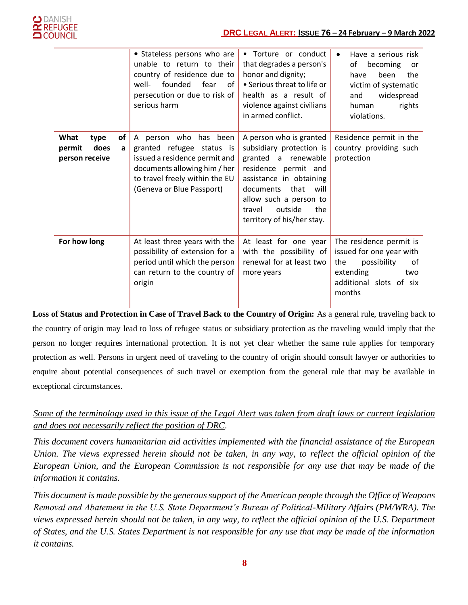*.*

|                                                             | • Stateless persons who are<br>unable to return to their<br>country of residence due to<br>well-<br>founded<br>fear<br>of<br>persecution or due to risk of<br>serious harm            | • Torture or conduct<br>that degrades a person's<br>honor and dignity;<br>• Serious threat to life or<br>health as a result of<br>violence against civilians<br>in armed conflict.                                                             | Have a serious risk<br>٠<br>of<br>becoming<br><b>or</b><br>been<br>the<br>have<br>victim of systematic<br>widespread<br>and<br>rights<br>human<br>violations. |
|-------------------------------------------------------------|---------------------------------------------------------------------------------------------------------------------------------------------------------------------------------------|------------------------------------------------------------------------------------------------------------------------------------------------------------------------------------------------------------------------------------------------|---------------------------------------------------------------------------------------------------------------------------------------------------------------|
| What<br>of<br>type<br>does<br>permit<br>a<br>person receive | A person who<br>has been<br>granted refugee status is<br>issued a residence permit and<br>documents allowing him / her<br>to travel freely within the EU<br>(Geneva or Blue Passport) | A person who is granted<br>subsidiary protection is<br>granted a renewable<br>residence permit and<br>assistance in obtaining<br>documents<br>that<br>will<br>allow such a person to<br>outside<br>the<br>travel<br>territory of his/her stay. | Residence permit in the<br>country providing such<br>protection                                                                                               |
| For how long                                                | At least three years with the<br>possibility of extension for a<br>period until which the person<br>can return to the country of<br>origin                                            | At least for one year<br>with the possibility of<br>renewal for at least two<br>more years                                                                                                                                                     | The residence permit is<br>issued for one year with<br>possibility<br>the<br>0f<br>extending<br>two<br>additional slots of six<br>months                      |

**Loss of Status and Protection in Case of Travel Back to the Country of Origin:** As a general rule, traveling back to the country of origin may lead to loss of refugee status or subsidiary protection as the traveling would imply that the person no longer requires international protection. It is not yet clear whether the same rule applies for temporary protection as well. Persons in urgent need of traveling to the country of origin should consult lawyer or authorities to enquire about potential consequences of such travel or exemption from the general rule that may be available in exceptional circumstances.

# *Some of the terminology used in this issue of the Legal Alert was taken from draft laws or current legislation and does not necessarily reflect the position of DRC.*

*This document covers humanitarian aid activities implemented with the financial assistance of the European Union. The views expressed herein should not be taken, in any way, to reflect the official opinion of the European Union, and the European Commission is not responsible for any use that may be made of the information it contains.*

*This document is made possible by the generous support of the American people through the Office of Weapons Removal and Abatement in the U.S. State Department's Bureau of Political-Military Affairs (PM/WRA). The views expressed herein should not be taken, in any way, to reflect the official opinion of the U.S. Department of States, and the U.S. States Department is not responsible for any use that may be made of the information it contains.*